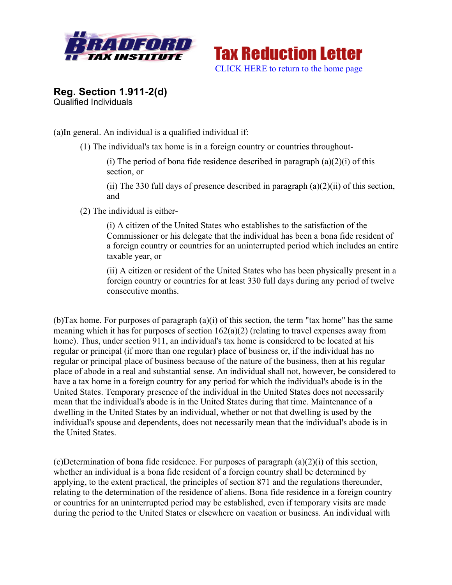



**Reg. Section 1.911-2(d)**  Qualified Individuals

(a)In general. An individual is a qualified individual if:

(1) The individual's tax home is in a foreign country or countries throughout-

(i) The period of bona fide residence described in paragraph  $(a)(2)(i)$  of this section, or

(ii) The 330 full days of presence described in paragraph  $(a)(2)(ii)$  of this section, and

(2) The individual is either-

(i) A citizen of the United States who establishes to the satisfaction of the Commissioner or his delegate that the individual has been a bona fide resident of a foreign country or countries for an uninterrupted period which includes an entire taxable year, or

(ii) A citizen or resident of the United States who has been physically present in a foreign country or countries for at least 330 full days during any period of twelve consecutive months.

(b)Tax home. For purposes of paragraph (a)(i) of this section, the term "tax home" has the same meaning which it has for purposes of section 162(a)(2) (relating to travel expenses away from home). Thus, under section 911, an individual's tax home is considered to be located at his regular or principal (if more than one regular) place of business or, if the individual has no regular or principal place of business because of the nature of the business, then at his regular place of abode in a real and substantial sense. An individual shall not, however, be considered to have a tax home in a foreign country for any period for which the individual's abode is in the United States. Temporary presence of the individual in the United States does not necessarily mean that the individual's abode is in the United States during that time. Maintenance of a dwelling in the United States by an individual, whether or not that dwelling is used by the individual's spouse and dependents, does not necessarily mean that the individual's abode is in the United States.

(c)Determination of bona fide residence. For purposes of paragraph  $(a)(2)(i)$  of this section, whether an individual is a bona fide resident of a foreign country shall be determined by applying, to the extent practical, the principles of section 871 and the regulations thereunder, relating to the determination of the residence of aliens. Bona fide residence in a foreign country or countries for an uninterrupted period may be established, even if temporary visits are made during the period to the United States or elsewhere on vacation or business. An individual with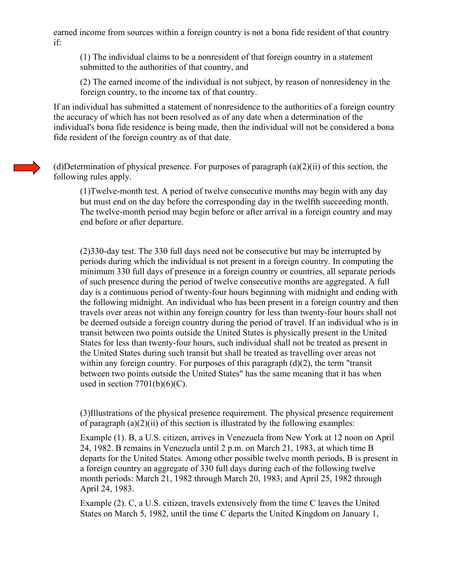earned income from sources within a foreign country is not a bona fide resident of that country if:

(1) The individual claims to be a nonresident of that foreign country in a statement submitted to the authorities of that country, and

(2) The earned income of the individual is not subject, by reason of nonresidency in the foreign country, to the income tax of that country.

If an individual has submitted a statement of nonresidence to the authorities of a foreign country the accuracy of which has not been resolved as of any date when a determination of the individual's bona fide residence is being made, then the individual will not be considered a bona fide resident of the foreign country as of that date.

(d)Determination of physical presence. For purposes of paragraph (a)(2)(ii) of this section, the following rules apply.

(1)Twelve-month test. A period of twelve consecutive months may begin with any day but must end on the day before the corresponding day in the twelfth succeeding month. The twelve-month period may begin before or after arrival in a foreign country and may end before or after departure.

(2)330-day test. The 330 full days need not be consecutive but may be interrupted by periods during which the individual is not present in a foreign country. In computing the minimum 330 full days of presence in a foreign country or countries, all separate periods of such presence during the period of twelve consecutive months are aggregated. A full day is a continuous period of twenty-four hours beginning with midnight and ending with the following midnight. An individual who has been present in a foreign country and then travels over areas not within any foreign country for less than twenty-four hours shall not be deemed outside a foreign country during the period of travel. If an individual who is in transit between two points outside the United States is physically present in the United States for less than twenty-four hours, such individual shall not be treated as present in the United States during such transit but shall be treated as travelling over areas not within any foreign country. For purposes of this paragraph  $(d)(2)$ , the term "transit" between two points outside the United States" has the same meaning that it has when used in section  $7701(b)(6)(C)$ .

(3)Illustrations of the physical presence requirement. The physical presence requirement of paragraph  $(a)(2)(ii)$  of this section is illustrated by the following examples:

Example (1). B, a U.S. citizen, arrives in Venezuela from New York at 12 noon on April 24, 1982. B remains in Venezuela until 2 p.m. on March 21, 1983, at which time B departs for the United States. Among other possible twelve month periods, B is present in a foreign country an aggregate of 330 full days during each of the following twelve month periods: March 21, 1982 through March 20, 1983; and April 25, 1982 through April 24, 1983.

Example (2). C, a U.S. citizen, travels extensively from the time C leaves the United States on March 5, 1982, until the time C departs the United Kingdom on January 1,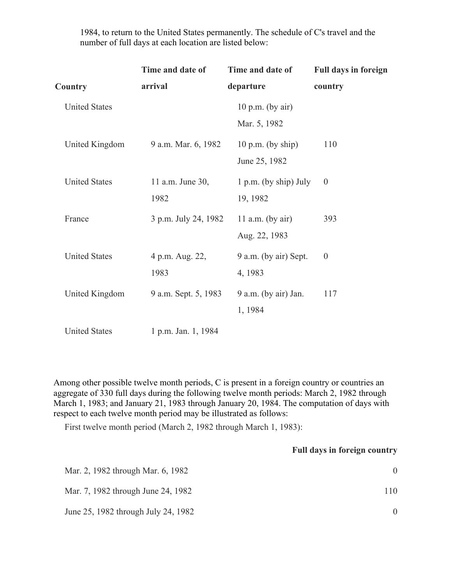|                      | Time and date of         | Time and date of                     | <b>Full days in foreign</b> |
|----------------------|--------------------------|--------------------------------------|-----------------------------|
| Country              | arrival                  | departure                            | country                     |
| <b>United States</b> |                          | $10 p.m.$ (by air)<br>Mar. 5, 1982   |                             |
| United Kingdom       | 9 a.m. Mar. 6, 1982      | $10$ p.m. (by ship)<br>June 25, 1982 | 110                         |
| <b>United States</b> | 11 a.m. June 30,<br>1982 | $1 p.m.$ (by ship) July<br>19, 1982  | $\theta$                    |
| France               | 3 p.m. July 24, 1982     | 11 a.m. (by air)<br>Aug. 22, 1983    | 393                         |
| <b>United States</b> | 4 p.m. Aug. 22,<br>1983  | 9 a.m. (by air) Sept.<br>4, 1983     | $\boldsymbol{0}$            |
| United Kingdom       | 9 a.m. Sept. 5, 1983     | 9 a.m. (by air) Jan.<br>1, 1984      | 117                         |
| <b>United States</b> | 1 p.m. Jan. 1, 1984      |                                      |                             |

1984, to return to the United States permanently. The schedule of C's travel and the number of full days at each location are listed below:

Among other possible twelve month periods, C is present in a foreign country or countries an aggregate of 330 full days during the following twelve month periods: March 2, 1982 through March 1, 1983; and January 21, 1983 through January 20, 1984. The computation of days with respect to each twelve month period may be illustrated as follows:

First twelve month period (March 2, 1982 through March 1, 1983):

## **Full days in foreign country**

| Mar. 2, 1982 through Mar. 6, 1982   |     |
|-------------------------------------|-----|
| Mar. 7, 1982 through June 24, 1982  | 110 |
| June 25, 1982 through July 24, 1982 |     |